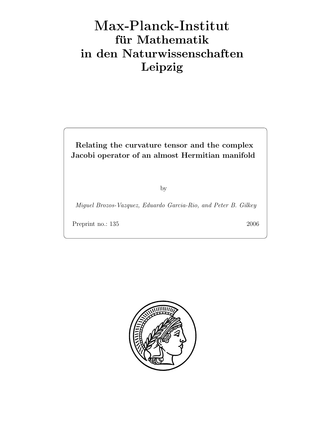# Max-Plan
k-Institut für Mathematik in den Naturwissenschaften Leipzig

Relating the curvature tensor and the complex Jacobi operator of an almost Hermitian manifold

by

Miguel Brozos-Vazquez, Eduardo Garcia-Rio, and Peter B. Gilkey

Preprint no.: 135 2006

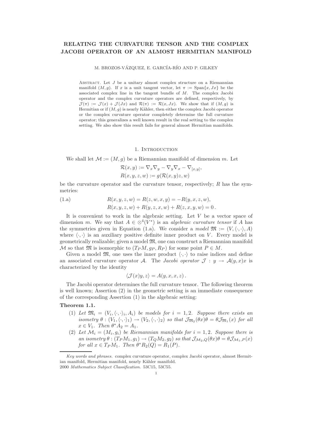# RELATING THE CURVATURE TENSOR AND THE COMPLEX JACOBI OPERATOR OF AN ALMOST HERMITIAN MANIFOLD

M. BROZOS-VÁZQUEZ, E. GARCÍA-RÍO AND P. GILKEY

ABSTRACT. Let  $J$  be a unitary almost complex structure on a Riemannian manifold  $(M, q)$ . If x is a unit tangent vector, let  $\pi := \text{Span}\{x, Jx\}$  be the associated complex line in the tangent bundle of M. The complex Jacobi operator and the complex curvature operators are defined, respectively, by  $\mathcal{J}(\pi) := \mathcal{J}(x) + \mathcal{J}(Jx)$  and  $\mathcal{R}(\pi) := \mathcal{R}(x, Jx)$ . We show that if  $(M, g)$  is Hermitian or if  $(M, g)$  is nearly Kähler, then either the complex Jacobi operator or the complex curvature operator completely determine the full curvature operator; this generalizes a well known result in the real setting to the complex setting. We also show this result fails for general almost Hermitian manifolds.

1. INTRODUCTION

We shall let  $\mathcal{M} := (M, g)$  be a Riemannian manifold of dimension m. Let

$$
\mathcal{R}(x, y) := \nabla_x \nabla_y - \nabla_y \nabla_x - \nabla_{[x, y]},
$$
  

$$
R(x, y, z, w) := g(\mathcal{R}(x, y)z, w)
$$

be the curvature operator and the curvature tensor, respectively;  $R$  has the symmetries:

(1.a) 
$$
R(x, y, z, w) = R(z, w, x, y) = -R(y, x, z, w),
$$

$$
R(x, y, z, w) + R(y, z, x, w) + R(z, x, y, w) = 0.
$$

It is convenient to work in the algebraic setting. Let  $V$  be a vector space of dimension m. We say that  $A \in \mathcal{A}(V^*)$  is an *algebraic curvature tensor* if A has the symmetries given in Equation (1.a). We consider a model  $\mathfrak{M} := (V, \langle \cdot, \cdot \rangle, A)$ where  $\langle \cdot, \cdot \rangle$  is an auxiliary positive definite inner product on V. Every model is geometrically realizable; given a model M, one can construct a Riemannian manifold M so that  $\mathfrak{M}$  is isomorphic to  $(T_P M, g_P, R_P)$  for some point  $P \in M$ .

Given a model  $\mathfrak{M}$ , one uses the inner product  $\langle \cdot, \cdot \rangle$  to raise indices and define an associated curvature operator A. The Jacobi operator  $\mathcal{J}: y \to \mathcal{A}(y,x)x$  is characterized by the identity

$$
\langle \mathcal{J}(x)y, z \rangle = A(y, x, x, z).
$$

The Jacobi operator determines the full curvature tensor. The following theorem is well known; Assertion (2) in the geometric setting is an immediate consequence of the corresponding Assertion (1) in the algebraic setting:

## Theorem 1.1.

- (1) Let  $\mathfrak{M}_i = (V_i, \langle \cdot, \cdot \rangle_i, A_i)$  be models for  $i = 1, 2$ . Suppose there exists an isometry  $\theta : (V_1,\langle\cdot,\cdot\rangle_1) \to (V_2,\langle\cdot,\cdot\rangle_2)$  so that  $\mathcal{J}_{\mathfrak{M}_2}(\theta x)\theta = \theta \mathcal{J}_{\mathfrak{M}_1}(x)$  for all  $x \in V_1$ . Then  $\theta^* A_2 = A_1$ .
- (2) Let  $\mathcal{M}_i = (M_i, g_i)$  be Riemannian manifolds for  $i = 1, 2$ . Suppose there is an isometry  $\theta$ :  $(T_P M_1, g_1) \rightarrow (T_Q M_2, g_2)$  so that  $\mathcal{J}_{\mathcal{M}_2,Q}(\theta x) \theta = \theta \mathcal{J}_{\mathcal{M}_1,P}(x)$ for all  $x \in T_P M_1$ . Then  $\theta^* R_2(Q) = R_1(P)$ .

Key words and phrases. complex curvature operator, complex Jacobi operator, almost Hermitian manifold, Hermitian manifold, nearly Kähler manifold. 2000 Mathematics Subject Classification. 53C15, 53C55.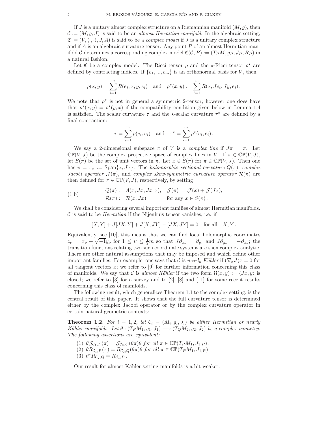If J is a unitary almost complex structure on a Riemannian manifold  $(M, g)$ , then  $\mathcal{C} := (M, q, J)$  is said to be an *almost Hermitian manifold*. In the algebraic setting,  $\mathfrak{C} := (V,\langle\cdot,\cdot\rangle, J, A)$  is said to be a *complex model* if J is a unitary complex structure and if A is an algebraic curvature tensor. Any point  $P$  of an almost Hermitian manifold C determines a corresponding complex model  $\mathfrak{C}(\mathcal{C}, P) := (T_P M, g_P, J_P, R_P)$  in a natural fashion.

Let  $\mathfrak C$  be a complex model. The Ricci tensor  $\rho$  and the  $\star$ -Ricci tensor  $\rho^*$  are defined by contracting indices. If  $\{e_1, ..., e_m\}$  is an orthonormal basis for V, then

$$
\rho(x, y) = \sum_{i=1}^{m} R(e_i, x, y, e_i)
$$
 and  $\rho^*(x, y) := \sum_{i=1}^{m} R(x, Je_i, Jy, e_i)$ .

We note that  $\rho^*$  is not in general a symmetric 2-tensor; however one does have that  $\rho^*(x, y) = \rho^*(y, x)$  if the compatibility condition given below in Lemma 1.4 is satisfied. The scalar curvature  $\tau$  and the  $\star$ -scalar curvature  $\tau^{\star}$  are defined by a final contraction:

$$
\tau = \sum_{i=1}^{m} \rho(e_i, e_i) \quad \text{and} \quad \tau^* = \sum_{i=1}^{m} \rho^*(e_i, e_i).
$$

We say a 2-dimensional subspace  $\pi$  of V is a *complex line* if  $J\pi = \pi$ . Let  $\mathbb{CP}(V, J)$  be the complex projective space of complex lines in V. If  $\pi \in \mathbb{CP}(V, J)$ , let  $S(\pi)$  be the set of unit vectors in  $\pi$ . Let  $x \in S(\pi)$  for  $\pi \in \mathbb{CP}(V, J)$ . Then one has  $\pi = \pi_x := \text{Span}\{x, Jx\}$ . The *holomorphic sectional curvature Q(π), complex* Jacobi operator  $\mathcal{J}(\pi)$ , and complex skew-symmetric curvature operator  $\mathcal{R}(\pi)$  are then defined for  $\pi \in \mathbb{CP}(V, J)$ , respectively, by setting

(1.b) 
$$
Q(\pi) := A(x, Jx, Jx, x), \quad \mathcal{J}(\pi) := \mathcal{J}(x) + \mathcal{J}(Jx),
$$

$$
\mathcal{R}(\pi) := \mathcal{R}(x, Jx) \quad \text{for any } x \in S(\pi).
$$

We shall be considering several important families of almost Hermitian manifolds.  $\mathcal C$  is said to be *Hermitian* if the Nijenhuis tensor vanishes, i.e. if

$$
[X,Y] + J[JX,Y] + J[X,JY] - [JX,JY] = 0 \text{ for all } X,Y.
$$

Equivalently, see [10], this means that we can find local holomorphic coordinates  $z_v = x_v + \sqrt{-1}y_v$  for  $1 \le v \le \frac{1}{2}m$  so that  $J\partial_{x_v} = \partial_{y_v}$  and  $J\partial_{y_v} = -\partial_{x_v}$ ; the transition functions relating two such coordinate systems are then complex analytic. There are other natural assumptions that may be imposed and which define other important families. For example, one says that C is nearly Kähler if  $(\nabla_x J)x = 0$  for all tangent vectors x; we refer to  $[9]$  for further information concerning this class of manifolds. We say that C is almost Kähler if the two form  $\Omega(x, y) := \langle Jx, y \rangle$  is closed; we refer to  $\lbrack 3 \rbrack$  for a survey and to  $\lbrack 2 \rbrack$ ,  $\lbrack 8 \rbrack$  and  $\lbrack 11 \rbrack$  for some recent results concerning this class of manifolds.

The following result, which generalizes Theorem 1.1 to the complex setting, is the central result of this paper. It shows that the full curvature tensor is determined either by the complex Jacobi operator or by the complex curvature operator in certain natural geometric contexts:

**Theorem 1.2.** For  $i = 1, 2$ , let  $C_i = (M_i, g_i, J_i)$  be either Hermitian or nearly Kähler manifolds. Let  $\theta$  :  $(T_P M_1, g_1, J_1) \longrightarrow (T_Q M_2, g_2, J_2)$  be a complex isometry. The following assertions are equivalent:

- (1)  $\theta \mathcal{J}_{c_1,P}(\pi) = \mathcal{J}_{c_2,Q}(\theta \pi) \theta$  for all  $\pi \in \mathbb{CP}(T_P M_1, J_{1,P}).$
- (2)  $\theta R_{\mathcal{C}_1,P}(\pi) = R_{\mathcal{C}_2,Q}(\theta \pi) \theta$  for all  $\pi \in \mathbb{CP}(T_P M_1, J_{1,P}).$
- (3)  $\theta^* R_{C_2,Q} = R_{C_1,P}$ .

Our result for almost Kähler setting manifolds is a bit weaker: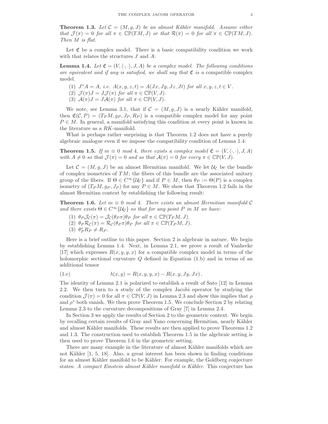**Theorem 1.3.** Let  $\mathcal{C} = (M, g, J)$  be an almost Kähler manifold. Assume either that  $\mathcal{J}(\pi) = 0$  for all  $\pi \in \mathbb{CP}(TM, J)$  or that  $\mathcal{R}(\pi) = 0$  for all  $\pi \in \mathbb{CP}(TM, J)$ . Then M is flat.

Let  $\mathfrak C$  be a complex model. There is a basic compatibility condition we work with that relates the structures J and A:

**Lemma 1.4.** Let  $\mathfrak{C} = (V, \langle \cdot, \cdot \rangle, J, A)$  be a complex model. The following conditions are equivalent and if any is satisfied, we shall say that  $\mathfrak C$  is a compatible complex model.

- (1)  $J^*A = A$ , i.e.  $A(x, y, z, t) = A(Jx, Jy, Jz, Jt)$  for all  $x, y, z, t \in V$ . (2)  $\mathcal{J}(\pi)J = J\mathcal{J}(\pi)$  for all  $\pi \in \mathbb{CP}(V, J)$ .
- (3)  $A(\pi)J = JA(\pi)$  for all  $\pi \in \mathbb{CP}(V, J)$ .

We note, see Lemma 3.1, that if  $C = (M, g, J)$  is a nearly Kähler manifold, then  $\mathfrak{C}(\mathcal{C}, P) = (T_P M, q_P, J_P, R_P)$  is a compatible complex model for any point  $P \in M$ . In general, a manifold satisfying this condition at every point is known in the literature as a RK-manifold.

What is perhaps rather surprising is that Theorem 1.2 does not have a purely algebraic analogue even if we impose the compatibility condition of Lemma 1.4:

**Theorem 1.5.** If  $m \equiv 0 \mod 4$ , there exists a complex model  $\mathfrak{C} = (V, \langle \cdot, \cdot \rangle, J, A)$ with  $A \neq 0$  so that  $\mathcal{J} (\pi) = 0$  and so that  $\mathcal{A} (\pi) = 0$  for every  $\pi \in \mathbb{CP}(V, J)$ .

Let  $\mathcal{C} = (M, g, J)$  be an almost Hermitian manifold. We let  $\mathcal{U}_{\mathcal{C}}$  be the bundle of complex isometries of  $TM$ ; the fibers of this bundle are the associated unitary group of the fibers. If  $\Theta \in C^{\infty} \{ \mathcal{U}_{\mathcal{C}} \}$  and if  $P \in M$ , then  $\theta_P := \Theta(P)$  is a complex isometry of  $(T_P M, g_P, J_P)$  for any  $P \in M$ . We show that Theorem 1.2 fails in the almost Hermitian context by establishing the following result:

**Theorem 1.6.** Let  $m \equiv 0 \mod 4$ . There exists an almost Hermitian manifold C and there exists  $\Theta \in C^{\infty} \{ \mathcal{U}_{\mathcal{C}} \}$  so that for any point P in M we have:

- (1)  $\theta_P \mathcal{J}_{\mathcal{C}}(\pi) = \mathcal{J}_{\mathcal{C}}(\theta_P \pi) \theta_P$  for all  $\pi \in \mathbb{CP}(T_P M, J)$ .
- (2)  $\theta_P \mathcal{R}_\mathcal{C}(\pi) = \mathcal{R}_\mathcal{C}(\theta_P \pi) \theta_P$  for all  $\pi \in \mathbb{CP}(T_P M, J)$ .
- (3)  $\theta_P^* R_P \neq R_P$ .

Here is a brief outline to this paper. Section 2 is algebraic in nature. We begin by establishing Lemma 1.4. Next, in Lemma 2.1, we prove a result of Vanhecke [17] which expresses  $R(x, y, y, x)$  for a compatible complex model in terms of the holomorphic sectional curvature  $Q$  defined in Equation (1.b) and in terms of an additional tensor

$$
(1.c) \qquad \lambda(x,y) = R(x,y,y,x) - R(x,y,Jy,Jx) \, .
$$

The identity of Lemma 2.1 is polarized to establish a result of Sato [12] in Lemma 2.2. We then turn to a study of the complex Jacobi operator by studying the condition  $\mathcal{J}(\pi) = 0$  for all  $\pi \in \mathbb{CP}(V, J)$  in Lemma 2.3 and show this implies that  $\rho$ and  $\rho^*$  both vanish. We then prove Theorem 1.5. We conclude Section 2 by relating Lemma 2.3 to the curvature decompositions of Gray [7] in Lemma 2.4.

In Section 3 we apply the results of Section 2 to the geometric context. We begin by recalling certain results of Gray and Yano concerning Hermitian, nearly Kähler and almost Kähler manifolds. These results are then applied to prove Theorems 1.2 and 1.3. The construction used to establish Theorem 1.5 in the algebraic setting is then used to prove Theorem 1.6 in the geometric setting.

There are many example in the literature of almost Kähler manifolds which are not Kähler [1, 5, 18]. Also, a great interest has been shown in finding conditions for an almost Kähler manifold to be Kähler. For example, the Goldberg conjecture states: A compact Einstein almost Kähler manifold is Kähler. This conjecture has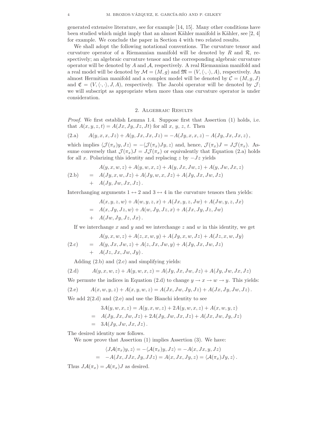generated extensive literature, see for example [14, 15]. Many other conditions have been studied which might imply that an almost Kähler manifold is Kähler, see [2, 4] for example. We conclude the paper in Section 4 with two related results.

We shall adopt the following notational conventions. The curvature tensor and curvature operator of a Riemannian manifold will be denoted by  $R$  and  $\mathcal{R}$ , respectively; an algebraic curvature tensor and the corresponding algebraic curvature operator will be denoted by  $A$  and  $A$ , respectively. A real Riemannian manifold and a real model will be denoted by  $\mathcal{M} = (M, g)$  and  $\mathfrak{M} = (V, \langle \cdot, \cdot \rangle, A)$ , respectively. An almost Hermitian manifold and a complex model will be denoted by  $\mathcal{C} = (M, g, J)$ and  $\mathfrak{C} = (V, \langle \cdot, \cdot \rangle, J, A)$ , respectively. The Jacobi operator will be denoted by  $\mathcal{J}$ ; we will subscript as appropriate when more than one curvature operator is under consideration.

#### 2. Algebraic Results

Proof. We first establish Lemma 1.4. Suppose first that Assertion (1) holds, i.e. that  $A(x, y, z, t) = A(Jx, Jy, Jz, Jt)$  for all x, y, z, t. Then

(2.a) 
$$
A(y, x, x, Jz) + A(y, Jx, Jx, Jz) = -A(Jy, x, x, z) - A(Jy, Jx, Jx, z)
$$
,

which implies  $\langle \mathcal{J}(\pi_x)y, Jz \rangle = -\langle \mathcal{J}(\pi_x)Jy, z \rangle$  and, hence,  $\mathcal{J}(\pi_x)J = J\mathcal{J}(\pi_x)$ . Assume conversely that  $\mathcal{J}(\pi_x)J = J\mathcal{J}(\pi_x)$  or equivalently that Equation (2.a) holds for all x. Polarizing this identity and replacing z by  $-Jz$  yields

(2.b) 
$$
A(y, x, w, z) + A(y, w, x, z) + A(y, Jx, Jw, z) + A(y, Jw, Jx, z) = A(Jy, x, w, Jz) + A(Jy, w, x, Jz) + A(Jy, Jx, Jw, Jz) + A(Jy, Jw, Jx, Jz).
$$

Interchanging arguments  $1 \leftrightarrow 2$  and  $3 \leftrightarrow 4$  in the curvature tensors then yields:

$$
A(x, y, z, w) + A(w, y, z, x) + A(Jx, y, z, Jw) + A(Jw, y, z, Jx)
$$
  
=  $A(x, Jy, Jz, w) + A(w, Jy, Jz, x) + A(Jx, Jy, Jz, Jw)$   
+  $A(Jw, Jy, Jz, Jx)$ .

If we interchange x and y and we interchange  $z$  and  $w$  in this identity, we get

$$
A(y, x, w, z) + A(z, x, w, y) + A(Jy, x, w, Jz) + A(Jz, x, w, Jy)
$$
  
(2.c) =  $A(y, Jx, Jw, z) + A(z, Jx, Jw, y) + A(Jy, Jx, Jw, Jz)$   
+  $A(Jz, Jx, Jw, Jy)$ .

Adding (2.b) and (2.c) and simplifying yields:

(2.d) 
$$
A(y, x, w, z) + A(y, w, x, z) = A(Jy, Jx, Jw, Jz) + A(Jy, Jw, Jx, Jz)
$$

We permute the indices in Equation (2.d) to change  $y \to x \to w \to y$ . This yields:

(2.e) 
$$
A(x, w, y, z) + A(x, y, w, z) = A(Jx, Jw, Jy, Jz) + A(Jx, Jy, Jw, Jz).
$$

We add  $2(2.d)$  and  $(2.e)$  and use the Bianchi identity to see

$$
3A(y, w, x, z) = A(y, x, w, z) + 2A(y, w, x, z) + A(x, w, y, z)
$$
  
=  $A(Jy, Jx, Jw, Jz) + 2A(Jy, Jw, Jx, Jz) + A(Jx, Jw, Jy, Jz)$   
=  $3A(Jy, Jw, Jx, Jz)$ .

The desired identity now follows.

We now prove that Assertion  $(1)$  implies Assertion  $(3)$ . We have:

$$
\langle J\mathcal{A}(\pi_x)y, z \rangle = -\langle \mathcal{A}(\pi_x)y, Jz \rangle = -A(x, Jx, y, Jz)
$$
  
= 
$$
-A(Jx, JJx, Jy, JJz) = A(x, Jx, Jy, z) = \langle \mathcal{A}(\pi_x)Jy, z \rangle.
$$

Thus  $J\mathcal{A}(\pi_x) = \mathcal{A}(\pi_x)J$  as desired.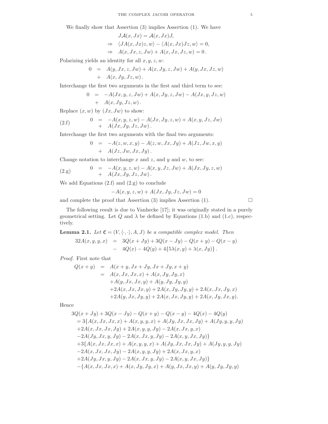We finally show that Assertion (3) implies Assertion (1). We have

$$
JA(x, Jx) = A(x, Jx)J,
$$
  
\n
$$
\Rightarrow \langle JA(x, Jx)z, w \rangle - \langle A(x, Jx)Jz, w \rangle = 0,
$$
  
\n
$$
\Rightarrow A(x, Jx, z, Jw) + A(x, Jx, Jz, w) = 0.
$$

Polarizing yields an identity for all  $x, y, z, w$ :

$$
0 = A(y, Jx, z, Jw) + A(x, Jy, z, Jw) + A(y, Jx, Jz, w) + A(x, Jy, Jz, w).
$$

Interchange the first two arguments in the first and third term to see:

$$
0 = -A(Jx, y, z, Jw) + A(x, Jy, z, Jw) - A(Jx, y, Jz, w) + A(x, Jy, Jz, w).
$$

Replace  $(x, w)$  by  $(Jx, Jw)$  to show:

(2. f) 
$$
0 = -A(x, y, z, w) - A(Jx, Jy, z, w) + A(x, y, Jz, Jw) + A(Jx, Jy, Jz, Jw).
$$

Interchange the first two arguments with the final two arguments:

$$
0 = -A(z, w, x, y) - A(z, w, Jx, Jy) + A(Jz, Jw, x, y) + A(Jz, Jw, Jx, Jy).
$$

Change notation to interchange x and z, and y and w, to see:

(2.g) 
$$
0 = -A(x, y, z, w) - A(x, y, Jz, Jw) + A(Jx, Jy, z, w) + A(Jx, Jy, Jz, Jw).
$$

We add Equations  $(2.f)$  and  $(2.g)$  to conclude

$$
-A(x, y, z, w) + A(Jx, Jy, Jz, Jw) = 0
$$

and complete the proof that Assertion (3) implies Assertion (1).  $\Box$ 

The following result is due to Vanhecke [17]; it was originally stated in a purely geometrical setting. Let  $Q$  and  $\lambda$  be defined by Equations (1.b) and (1.c), respectively.

**Lemma 2.1.** Let  $\mathfrak{C} = (V, \langle \cdot, \cdot \rangle, A, J)$  be a compatible complex model. Then

$$
32A(x, y, y, x) = 3Q(x + Jy) + 3Q(x - Jy) - Q(x + y) - Q(x - y)
$$
  
- 4Q(x) - 4Q(y) + 4{5\lambda(x, y) + \lambda(x, Jy)}.

Proof. First note that

$$
Q(x + y) = A(x + y, Jx + Jy, Jx + Jy, x + y)
$$
  
=  $A(x, Jx, Jx, x) + A(x, Jy, Jy, x)$   
+  $A(y, Jx, Jx, y) + A(y, Jy, Jy, y)$   
+  $2A(x, Jx, Jx, y) + 2A(x, Jy, Jy, y) + 2A(x, Jx, Jy, x)$   
+  $2A(y, Jx, Jy, y) + 2A(x, Jx, Jy, y) + 2A(x, Jy, Jx, y).$ 

Hence

$$
3Q(x + Jy) + 3Q(x - Jy) - Q(x + y) - Q(x - y) - 4Q(x) - 4Q(y)
$$
  
=  $3\{A(x, Jx, Jx, x) + A(x, y, y, x) + A(Jy, Jx, Jx, Jy) + A(Jy, y, y, Jy) + 2A(x, Jx, Jx, Jy) + 2A(x, y, y, Jy) - 2A(x, Jx, y, x) -2A(Jy, Jx, y, Jy) - 2A(x, Jx, y, Jy) - 2A(x, y, Jx, Jy)\} + 3\{A(x, Jx, Jx, x) + A(x, y, y, x) + A(Jy, Jx, Jx, Jy) + A(Jy, y, y, Jy) - 2A(x, Jx, Jx, Jy) - 2A(x, y, y, Jy) + 2A(x, Jx, y, x) + 2A(Jy, Jx, y, Jy) - 2A(x, Jx, y, Jy) - 2A(x, y, Jx, Jy)\} - \{A(x, Jx, Jx, x) + A(x, Jy, Jy, x) + A(y, Jx, Jx, y) + A(y, Jy, Jy, y) + A(y, Jy, Jy, y)\}\$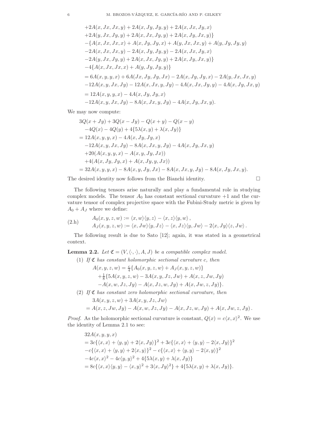$$
+2A(x, Jx, Jx, y) + 2A(x, Jy, Jy, y) + 2A(x, Jx, Jy, x)
$$
  
\n
$$
+2A(y, Jx, Jy, y) + 2A(x, Jx, Jy, y) + 2A(x, Jy, Jx, y)
$$
  
\n
$$
-\{A(x, Jx, Jx, x) + A(x, Jy, Jy, x) + A(y, Jx, Jx, y) + A(y, Jy, Jy, y)
$$
  
\n
$$
-2A(x, Jx, Jx, y) - 2A(x, Jy, Jy, y) - 2A(x, Jx, Jy, x)
$$
  
\n
$$
-2A(y, Jx, Jy, y) + 2A(x, Jx, Jy, y) + 2A(x, Jy, Jx, y)
$$
  
\n
$$
-4\{A(x, Jx, Jx, x) + A(y, Jy, Jy, y) - 2A(x, Jy, Jx, y) - 2A(y, Jx, Jx, y)
$$
  
\n
$$
= 6A(x, y, y, x) + 6A(Jx, Jy, Jy, Jx) - 2A(x, Jy, Jy, x) - 2A(y, Jx, Jx, y)
$$
  
\n
$$
-12A(x, y, Jx, Jy) - 12A(x, Jx, y, Jy) - 4A(x, Jx, Jy, y) - 4A(x, Jy, Jx, y)
$$
  
\n
$$
= 12A(x, y, y, x) - 4A(x, Jy, Jy, x)
$$
  
\n
$$
-12A(x, y, Jx, Jy) - 8A(x, Jx, y, Jy) - 4A(x, Jy, Jx, y).
$$

We may now compute:

$$
3Q(x + Jy) + 3Q(x - Jy) - Q(x + y) - Q(x - y)
$$
  
\n
$$
-4Q(x) - 4Q(y) + 4{5\lambda(x, y) + \lambda(x, Jy)}
$$
  
\n
$$
= 12A(x, y, y, x) - 4A(x, Jy, Jy, x)
$$
  
\n
$$
-12A(x, y, Jx, Jy) - 8A(x, Jx, y, Jy) - 4A(x, Jy, Jx, y)
$$
  
\n
$$
+20(A(x, y, y, x) - A(x, y, Jy, Jx))
$$
  
\n
$$
+4(A(x, Jy, Jy, x) + A(x, Jy, y, Jx))
$$
  
\n
$$
= 32A(x, y, y, x) - 8A(x, y, Jy, Jx) - 8A(x, Jx, y, Jy) - 8A(x, Jy, Jx, y).
$$

The desired identity now follows from the Bianchi identity.

$$
\qquad \qquad \Box
$$

The following tensors arise naturally and play a fundamental role in studying complex models. The tensor  $A_0$  has constant sectional curvature  $+1$  and the curvature tensor of complex projective space with the Fubini-Study metric is given by  $A_0 + A_J$  where we define:

(2.h) 
$$
A_0(x, y, z, w) := \langle x, w \rangle \langle y, z \rangle - \langle x, z \rangle \langle y, w \rangle,
$$

$$
A_J(x, y, z, w) := \langle x, Jw \rangle \langle y, Jz \rangle - \langle x, Jz \rangle \langle y, Jw \rangle - 2 \langle x, Jy \rangle \langle z, Jw \rangle.
$$

The following result is due to Sato [12]; again, it was stated in a geometrical context.

**Lemma 2.2.** Let  $\mathfrak{C} = (V, \langle \cdot, \cdot \rangle, A, J)$  be a compatible complex model.

(1) If  $\mathfrak C$  has constant holomorphic sectional curvature c, then

$$
A(x, y, z, w) = \frac{c}{4} \{ A_0(x, y, z, w) + A_J(x, y, z, w) \} + \frac{1}{8} \{ 5A(x, y, z, w) - 3A(x, y, Jz, Jw) + A(x, z, Jw, Jy) - A(x, w, Jz, Jy) - A(x, Jz, w, Jy) + A(x, Jw, z, Jy) \}.
$$

(2) If  $\mathfrak C$  has constant zero holomorphic sectional curvature, then

 $3A(x, y, z, w) + 3A(x, y, Jz, Jw)$ 

$$
= A(x, z, Jw, Jy) - A(x, w, Jz, Jy) - A(x, Jz, w, Jy) + A(x, Jw, z, Jy).
$$

*Proof.* As the holomorphic sectional curvature is constant,  $Q(x) = c\langle x, x \rangle^2$ . We use the identity of Lemma 2.1 to see:

$$
32A(x, y, y, x)
$$
  
=  $3c\{(x, x) + \langle y, y \rangle + 2\langle x, Jy \rangle\}^2 + 3c\{\langle x, x \rangle + \langle y, y \rangle - 2\langle x, Jy \rangle\}^2$   
 $-c\{\langle x, x \rangle + \langle y, y \rangle + 2\langle x, y \rangle\}^2 - c\{\langle x, x \rangle + \langle y, y \rangle - 2\langle x, y \rangle\}^2$   
 $-4c\langle x, x \rangle^2 - 4c\langle y, y \rangle^2 + 4\{5\lambda(x, y) + \lambda(x, Jy)\}$   
=  $8c\{\langle x, x \rangle \langle y, y \rangle - \langle x, y \rangle^2 + 3\langle x, Jy \rangle^2\} + 4\{5\lambda(x, y) + \lambda(x, Jy)\}.$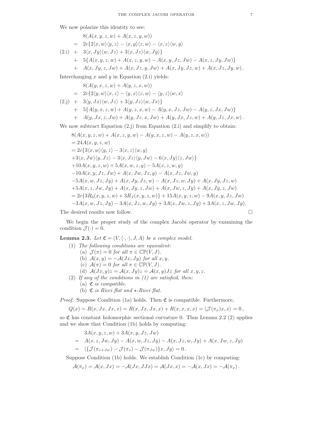We now polarize this identity to see:

$$
8(A(x, y, z, w) + A(x, z, y, w))
$$
  
=  $2c\{2\langle x, w \rangle \langle y, z \rangle - \langle x, y \rangle \langle z, w \rangle - \langle x, z \rangle \langle w, y \rangle$   
(2.i) +  $3\langle x, Jy \rangle \langle w, Jz \rangle + 3\langle x, Jz \rangle \langle w, Jy \rangle \}$   
+  $5\{A(x, y, z, w) + A(x, z, y, w) - A(x, y, Jz, Jw) - A(x, z, Jy, Jw)\}$   
+  $A(x, Jy, z, Jw) + A(x, Jz, y, Jw) + A(x, Jy, Jz, w) + A(x, Jz, Jy, w).$ 

Interchanging  $x$  and  $y$  in Equation (2.i) yields:

$$
8(A(y, x, z, w) + A(y, z, x, w))
$$
  
=  $2c\{2\langle y, w\rangle\langle x, z\rangle - \langle y, x\rangle\langle z, w\rangle - \langle y, z\rangle\langle w, x\rangle$   
(2. j) +  $3\langle y, Jx\rangle\langle w, Jz\rangle + 3\langle y, Jz\rangle\langle w, Jx\rangle$ }  
+  $5\{A(y, x, z, w) + A(y, z, x, w) - A(y, x, Jz, Jw) - A(y, z, Jx, Jw)\}$   
+  $A(y, Jx, z, Jw) + A(y, Jz, x, Jw) + A(y, Jx, Jz, w) + A(y, Jz, Jx, w).$ 

We now subtract Equation (2.j) from Equation (2.i) and simplify to obtain:

$$
8(A(x, y, z, w) + A(x, z, y, w) - A(y, x, z, w) - A(y, z, x, w))
$$
  
= 24A(x, y, z, w)  
= 2c{3\langle x, w \rangle\langle y, z \rangle - 3\langle x, z \rangle\langle w, y \rangle}  
+3\langle x, Jw \rangle\langle y, Jz \rangle - 3\langle x, Jz \rangle\langle y, Jw \rangle - 6\langle x, Jy \rangle\langle z, Jw \rangle}  
+10A(x, y, z, w) + 5A(x, w, z, y) - 5A(x, z, w, y)  
-10A(x, y, Jz, Jw) + A(x, Jw, Jz, y) - A(x, Jz, Jw, y)  
-5A(x, w, Jz, Jy) + A(x, Jy, Jz, w) - A(x, Jz, w, Jy) + A(x, Jy, Jz, w)  
+5A(x, z, Jw, Jy) + A(x, Jy, z, Jw) + A(x, Jw, z, Jy) + A(x, Jy, z, Jw)  
= 2c{3R<sub>0</sub>(x, y, z, w) + 3R<sub>J</sub>(x, y, z, w)} + 15A(x, y, z, w) - 9A(x, y, Jz, Jw)  
-3A(x, w, Jz, Jy) - 3A(x, Jz, w, Jy) + 3A(x, Jw, z, Jy) + 3A(x, z, Jw, Jy).

The desired results now follow.  $\hfill \square$ 

We begin the proper study of the complex Jacobi operator by examining the condition  $\mathcal{J}(\cdot) = 0$ .

**Lemma 2.3.** Let  $\mathfrak{C} = (V, \langle \cdot, \cdot \rangle, J, A)$  be a complex model.

- (1) The following conditions are equivalent:
	- (a)  $\mathcal{J}(\pi) = 0$  for all  $\pi \in \mathbb{CP}(V, J)$ .
	- (b)  $\mathcal{A}(x, y) = -\mathcal{A}(Jx, Jy)$  for all  $x, y$ .
	- (c)  $\mathcal{A}(\pi) = 0$  for all  $\pi \in \mathbb{CP}(V, J)$ .
	- (d)  $A(Jx,y)z = A(x,Jy)z = A(x,y)Jz$  for all  $x, y, z$ .
- (2) If any of the conditions in  $(1)$  are satisfied, then:
	- (a)  $\mathfrak{C}$  is compatible.
	- (b)  $\mathfrak C$  is Ricci flat and  $\star$ -Ricci flat.

*Proof.* Suppose Condition (1a) holds. Then  $\mathfrak C$  is compatible. Furthermore,

$$
Q(x) = R(x, Jx, Jx, x) = R(x, Jx, Jx, x) + R(x, x, x, x) = \langle \mathcal{J}(\pi_x)x, x \rangle = 0,
$$

so  $\mathfrak C$  has constant holomorphic sectional curvature 0. Thus Lemma 2.2 (2) applies and we show that Condition (1b) holds by computing:

$$
3A(x, y, z, w) + 3A(x, y, Jz, Jw)
$$
  
=  $A(x, z, Jw, Jy) - A(x, w, Jz, Jy) - A(x, Jz, w, Jy) + A(x, Jw, z, Jy)$   
=  $\langle \{ \mathcal{J}(\pi_{z+Jw}) - \mathcal{J}(\pi_z) - \mathcal{J}(\pi_{Jw}) \} x, Jy \rangle = 0.$ 

Suppose Condition (1b) holds. We establish Condition (1c) by computing:

$$
\mathcal{A}(\pi_x) = \mathcal{A}(x, Jx) = -\mathcal{A}(Jx, JJx) = \mathcal{A}(Jx, x) = -\mathcal{A}(x, Jx) = -\mathcal{A}(\pi_x).
$$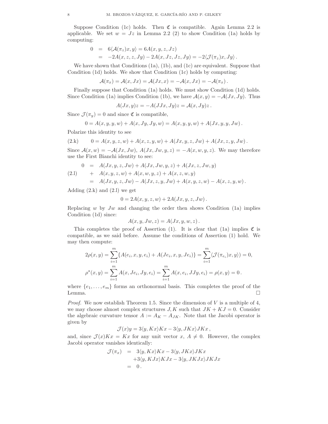Suppose Condition (1c) holds. Then  $\mathfrak C$  is compatible. Again Lemma 2.2 is applicable. We set  $w = Jz$  in Lemma 2.2 (2) to show Condition (1a) holds by computing:

$$
0 = 6\langle \mathcal{A}(\pi_z)x, y \rangle = 6A(x, y, z, Jz)
$$
  
= -2A(x, z, z, Jy) - 2A(x, Jz, Jz, Jy) = -2\langle \mathcal{J}(\pi\_z)x, Jy \rangle.

We have shown that Conditions (1a), (1b), and (1c) are equivalent. Suppose that Condition (1d) holds. We show that Condition (1c) holds by computing:

$$
\mathcal{A}(\pi_x) = \mathcal{A}(x, Jx) = \mathcal{A}(Jx, x) = -\mathcal{A}(x, Jx) = -\mathcal{A}(\pi_x).
$$

Finally suppose that Condition (1a) holds. We must show Condition (1d) holds. Since Condition (1a) implies Condition (1b), we have  $\mathcal{A}(x, y) = -\mathcal{A}(Jx, Jy)$ . Thus

$$
A(Jx,y)z = -A(JJx,Jy)z = A(x,Jy)z.
$$

Since  $\mathcal{J}(\pi_y) = 0$  and since  $\mathfrak{C}$  is compatible,

$$
0 = A(x, y, y, w) + A(x, Jy, Jy, w) = A(x, y, y, w) + A(Jx, y, y, Jw).
$$

Polarize this identity to see

$$
(2.k) \qquad 0 = A(x, y, z, w) + A(x, z, y, w) + A(Jx, y, z, Jw) + A(Jx, z, y, Jw).
$$

Since  $\mathcal{A}(x, w) = -\mathcal{A}(Jx, Jw), \mathcal{A}(Jx, Jw, y, z) = -\mathcal{A}(x, w, y, z).$  We may therefore use the First Bianchi identity to see:

(2.1) 
$$
0 = A(Jx, y, z, Jw) + A(Jx, Jw, y, z) + A(Jx, z, Jw, y)
$$

$$
+ A(x, y, z, w) + A(x, w, y, z) + A(x, z, w, y)
$$

$$
= A(Jx, y, z, Jw) - A(Jx, z, y, Jw) + A(x, y, z, w) - A(x, z, y, w).
$$

Adding  $(2.k)$  and  $(2.l)$  we get

$$
0 = 2A(x, y, z, w) + 2A(Jx, y, z, Jw).
$$

Replacing w by  $Jw$  and changing the order then shows Condition (1a) implies Condition (1d) since:

$$
A(x, y, Jw, z) = A(Jx, y, w, z).
$$

This completes the proof of Assertion (1). It is clear that (1a) implies  $\mathfrak C$  is compatible, as we said before. Assume the conditions of Assertion (1) hold. We may then compute:

$$
2\rho(x,y) = \sum_{i=1}^{m} \{A(e_i, x, y, e_i) + A(Je_i, x, y, Je_i)\} = \sum_{i=1}^{m} \langle \mathcal{J}(\pi_{e_i})x, y \rangle) = 0,
$$
  

$$
\rho^*(x,y) = \sum_{i=1}^{m} A(x, Je_i, Jy, e_i) = \sum_{i=1}^{m} A(x, e_i, JJy, e_i) = \rho(x,y) = 0.
$$

where  $\{e_1, \ldots, e_m\}$  forms an orthonormal basis. This completes the proof of the Lemma. Lemma.

*Proof.* We now establish Theorem 1.5. Since the dimension of  $V$  is a multiple of 4, we may choose almost complex structures  $J, K$  such that  $JK + KJ = 0$ . Consider the algebraic curvature tensor  $A := A_K - A_{JK}$ . Note that the Jacobi operator is given by

$$
\mathcal{J}(x)y = 3\langle y, Kx \rangle Kx - 3\langle y, JKx \rangle JKx,
$$

and, since  $\mathcal{J}(x)Kx = Kx$  for any unit vector  $x, A \neq 0$ . However, the complex Jacobi operator vanishes identically:

$$
\mathcal{J}(\pi_x) = 3\langle y, Kx \rangle Kx - 3\langle y, JKx \rangle JKx \n+3\langle y, KJx \rangle KJx - 3\langle y, JKJx \rangle JKJx \n= 0.
$$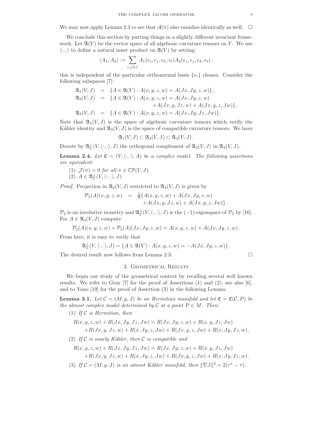We may now apply Lemma 2.3 to see that  $\mathcal{A}(\pi)$  also vanishes identically as well.  $\square$ 

We conclude this section by putting things in a slightly different invariant framework. Let  $\mathfrak{A}(V)$  be the vector space of all algebraic curvature tensors on V. We use  $\langle \cdot, \cdot \rangle$  to define a natural inner product on  $\mathfrak{A}(V)$  by setting:

$$
\langle A_1, A_2 \rangle := \sum_{i,j,k,l} A_1(e_i, e_j, e_k, e_l) A_2(e_i, e_j, e_k, e_l);
$$

this is independent of the particular orthonormal basis  $\{e_i\}$  chosen. Consider the following subspaces [7]:

$$
\mathfrak{A}_1(V, J) = \{ A \in \mathfrak{A}(V) : A(x, y, z, w) = A(Jx, Jy, z, w) \}, \mathfrak{A}_2(V, J) = \{ A \in \mathfrak{A}(V) : A(x, y, z, w) = A(Jx, Jy, z, w) \n+ A(Jx, y, Jz, w) + A(Jx, y, z, Jw) \}, \mathfrak{A}_3(V, J) = \{ A \in \mathfrak{A}(V) : A(x, y, z, w) = A(Jx, Jy, Jz, Jw) \}.
$$

Note that  $\mathfrak{A}_1(V, J)$  is the space of algebraic curvature tensors which verify the Kähler identity and  $\mathfrak{A}_3(V, J)$  is the space of compatible curvature tensors. We have

$$
\mathfrak{A}_1(V, J) \subset \mathfrak{A}_2(V, J) \subset \mathfrak{A}_3(V, J).
$$

Denote by  $\mathfrak{A}^{\perp}_2(V, \langle \cdot, \cdot \rangle, J)$  the orthogonal complement of  $\mathfrak{A}_2(V, J)$  in  $\mathfrak{A}_3(V, J)$ .

**Lemma 2.4.** Let  $\mathfrak{C} = (V, \langle \cdot, \cdot \rangle, A)$  be a complex model. The following assertions are equivalent:

- (1)  $\mathcal{J}(\pi) = 0$  for all  $\pi \in \mathbb{CP}(V, J)$ .
- (2)  $A \in \mathfrak{A}_2^{\perp}(V,\langle \cdot,\cdot \rangle, J).$

*Proof.* Projection in  $\mathfrak{A}_2(V, J)$  restricted to  $\mathfrak{A}_3(V, J)$  is given by

$$
\mathcal{P}_2(A)(x, y, z, w) = \frac{1}{2} \{ A(x, y, z, w) + A(Jx, Jy, z, w) + A(Jx, y, z, Jw) \}.
$$

 $\mathcal{P}_2$  is an involutive isometry and  $\mathfrak{A}_2^{\perp}(V,\langle\cdot,\cdot\rangle,J)$  is the  $(-1)$ -eigenspace of  $\mathcal{P}_2$  by [16]. For  $A \in \mathfrak{A}_3(V, J)$  compute

$$
\mathcal{P}_2(A)(x, y, z, w) + \mathcal{P}_2(A)(Jx, Jy, z, w) = A(x, y, z, w) + A(Jx, Jy, z, w).
$$

From here, it is easy to verify that

$$
\mathfrak{A}_2^{\perp}(V, \langle \cdot, \cdot \rangle, J) = \{ A \in \mathfrak{A}(V) : A(x, y, z, w) = -A(Jx, Jy, z, w) \}.
$$

The desired result now follows from Lemma 2.3.

#### 3. Geometrical Results

We begin our study of the geometrical context by recalling several well known results. We refer to Gray  $[7]$  for the proof of Assertions  $(1)$  and  $(2)$ , see also  $[6]$ , and to Yano [19] for the proof of Assertion (3) in the following Lemma:

**Lemma 3.1.** Let  $\mathcal{C} = (M, g, J)$  be an Hermitian manifold and let  $\mathfrak{C} = \mathfrak{C}(\mathcal{C}, P)$  be the almost complex model determined by C at a point  $P \in M$ . Then:

(1) If  $C$  is Hermitian, then

$$
R(x, y, z, w) + R(Jx, Jy, Jz, Jw) = R(Jx, Jy, z, w) + R(x, y, Jz, Jw) + R(Jx, y, Jz, w) + R(x, Jy, z, Jw) + R(Jx, y, z, Jw) + R(x, Jy, Jz, w).
$$

(2) If  $\mathcal C$  is nearly Kähler, then  $\mathcal C$  is compatible and

$$
R(x, y, z, w) + R(Jx, Jy, Jz, Jw) = R(Jx, Jy, z, w) + R(x, y, Jz, Jw) + R(Jx, y, Jz, w) + R(x, Jy, z, Jw) + R(Jx, y, z, Jw) + R(x, Jy, Jz, w).
$$

(3) If  $C = (M, g, J)$  is an almost Kähler manifold, then  $\|\nabla J\|^2 = 2(\tau^* - \tau)$ .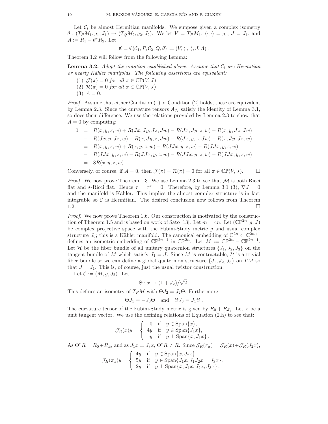Let  $C_i$  be almost Hermitian manifolds. We suppose given a complex isometry  $\theta$ :  $(T_P M_1, g_1, J_1) \rightarrow (T_Q M_2, g_2, J_2)$ . We let  $V = T_P M_1, \langle \cdot, \cdot \rangle = g_1, J = J_1$ , and  $A := R_1 - \theta^* R_2$ . Let

$$
\mathfrak{C}=\mathfrak{C}(\mathcal{C}_1,P,\mathcal{C}_2,Q,\theta):=(V,\langle\cdot,\cdot\rangle,J,A).
$$

Theorem 1.2 will follow from the following Lemma:

**Lemma 3.2.** Adopt the notation established above. Assume that  $C_i$  are Hermitian or nearly Kähler manifolds. The following assertions are equivalent:

- (1)  $\mathcal{J}(\pi) = 0$  for all  $\pi \in \mathbb{CP}(V, J)$ . (2)  $\mathcal{R}(\pi) = 0$  for all  $\pi \in \mathbb{CP}(V, J)$ .
- $(3)$   $A = 0$ .

*Proof.* Assume that either Condition  $(1)$  or Condition  $(2)$  holds; these are equivalent by Lemma 2.3. Since the curvature tensors  $A_{\mathcal{C}_i}$  satisfy the identity of Lemma 3.1, so does their difference. We use the relations provided by Lemma 2.3 to show that  $A = 0$  by computing:

$$
0 = R(x, y, z, w) + R(Jx, Jy, Jz, Jw) - R(Jx, Jy, z, w) - R(x, y, Jz, Jw)
$$
  
\n
$$
= R(Jx, y, Jz, w) - R(x, Jy, z, Jw) - R(Jx, y, z, Jw) - R(x, Jy, Jz, w)
$$
  
\n
$$
= R(x, y, z, w) + R(x, y, z, w) - R(JJx, y, z, w) - R(JJx, y, z, w)
$$
  
\n
$$
= R(JJx, y, z, w) - R(JJx, y, z, w) - R(JJx, y, z, w) - R(JJx, y, z, w)
$$
  
\n
$$
= 8R(x, y, z, w).
$$

Conversely, of course, if  $A = 0$ , then  $\mathcal{J}(\pi) = \mathcal{R}(\pi) = 0$  for all  $\pi \in \mathbb{CP}(V, J)$ .

*Proof.* We now prove Theorem 1.3. We use Lemma 2.3 to see that  $M$  is both Ricci flat and  $\star$ -Ricci flat. Hence  $\tau = \tau^* = 0$ . Therefore, by Lemma 3.1 (3),  $\nabla J = 0$ and the manifold is Kähler. This implies the almost complex structure is in fact integrable so  $\mathcal C$  is Hermitian. The desired conclusion now follows from Theorem 1.2.  $1.2.$ 

Proof. We now prove Theorem 1.6. Our construction is motivated by the construction of Theorem 1.5 and is based on work of Sato [13]. Let  $m = 4n$ . Let  $(\mathbb{CP}^{2n}, g, J)$ be complex projective space with the Fubini-Study metric  $g$  and usual complex structure  $J_0$ ; this is a Kähler manifold. The canonical embedding of  $\mathbb{C}^{2n} \subset \mathbb{C}^{2n+1}$ defines an isometric embedding of  $\mathbb{CP}^{2n-1}$  in  $\mathbb{CP}^{2n}$ . Let  $M := \mathbb{CP}^{2n} - \mathbb{CP}^{2n-1}$ . Let H be the fiber bundle of all unitary quaternion structures  $\{J_1, J_2, J_3\}$  on the tangent bundle of M which satisfy  $J_1 = J$ . Since M is contractable, H is a trivial fiber bundle so we can define a global quaternion structure  $\{J_1, J_2, J_3\}$  on TM so that  $J = J_1$ . This is, of course, just the usual twistor construction.

Let  $\mathcal{C} := (M, g, J_2)$ . Let

$$
\Theta: x \to (1+J_2)/\sqrt{2}.
$$

This defines an isometry of  $T_PM$  with  $\Theta J_2 = J_2\Theta$ . Furthermore

$$
\Theta J_1 = -J_3 \Theta \quad \text{and} \quad \Theta J_3 = J_1 \Theta \, .
$$

The curvature tensor of the Fubini-Study metric is given by  $R_0 + R_{J_1}$ . Let x be a unit tangent vector. We use the defining relations of Equation  $(2.h)$  to see that:

$$
\mathcal{J}_R(x)y = \begin{cases} 0 & \text{if } y \in \text{Span}\{x\}, \\ 4y & \text{if } y \in \text{Span}\{J_1x\}, \\ y & \text{if } y \perp \text{Span}\{x, J_1x\}. \end{cases}
$$

As  $\Theta^*R = R_0 + R_{J_3}$  and as  $J_1x \perp J_3x$ ,  $\Theta^*R \neq R$ . Since  $\mathcal{J}_R(\pi_x) = \mathcal{J}_R(x) + \mathcal{J}_R(J_2x)$ ,

$$
\mathcal{J}_R(\pi_x)y = \begin{cases} 4y & \text{if } y \in \text{Span}\{x, J_2x\}, \\ 5y & \text{if } y \in \text{Span}\{J_1x, J_1J_2x = J_3x\}, \\ 2y & \text{if } y \perp \text{Span}\{x, J_1x, J_2x, J_3x\}. \end{cases}
$$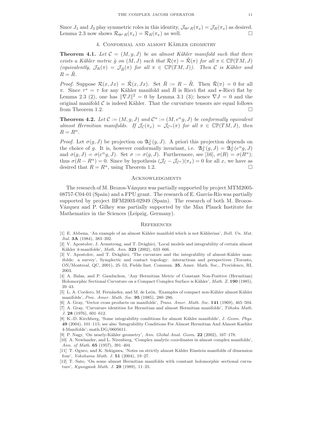Since  $J_1$  and  $J_3$  play symmetric roles in this identity,  $\mathcal{J}_{\Theta^*R}(\pi_x) = \mathcal{J}_R(\pi_x)$  as desired.<br>Lemma 2.3 now shows  $\mathcal{R}_{\Theta^*R}(\pi_x) = \mathcal{R}_R(\pi_x)$  as well. Lemma 2.3 now shows  $\mathcal{R}_{\Theta^*R}(\pi_x) = \mathcal{R}_R(\pi_x)$  as well.

## 4. CONFORMAL AND ALMOST KÄHLER GEOMETRY

**Theorem 4.1.** Let  $\mathcal{C} = (M, g, J)$  be an almost Kähler manifold such that there exists a Kähler metric  $\tilde{g}$  on  $(M, J)$  such that  $\mathcal{R}(\pi) = \mathcal{R}(\pi)$  for all  $\pi \in \mathbb{CP}(TM, J)$ (equivalently,  $\mathcal{J}_R(\pi) = \mathcal{J}_{\tilde{R}}(\pi)$  for all  $\pi \in \mathbb{CP}(TM, J)$ ). Then C is Kähler and  $R = R$ .

*Proof.* Suppose  $\mathcal{R}(x, Jx) = \tilde{\mathcal{R}}(x, Jx)$ . Set  $\bar{R} := R - \tilde{R}$ . Then  $\bar{\mathcal{R}}(\pi) = 0$  for all π. Since  $\tau^* = \tau$  for any Kähler manifold and  $\overline{R}$  is Ricci flat and  $\star$ -Ricci flat by Lemma 2.3 (2), one has  $\|\nabla J\|^2 = 0$  by Lemma 3.1 (3); hence  $\nabla J = 0$  and the original manifold  $\mathcal C$  is indeed Kähler. That the curvature tensors are equal follows from Theorem 1.2 from Theorem 1.2.

**Theorem 4.2.** Let  $\mathcal{C} := (M, g, J)$  and  $\mathcal{C}^{\alpha} := (M, e^{\alpha}g, J)$  be conformally equivalent almost Hermitian manifolds. If  $\mathcal{J}_{\mathcal{C}}(\pi_x) = \mathcal{J}_{\mathcal{C}}(\pi)$  for all  $\pi \in \mathbb{CP}(TM, J)$ , then  $R = R^{\alpha}$ .

*Proof.* Let  $\sigma(g, J)$  be projection on  $\mathfrak{A}_2^{\perp}(g, J)$ . A priori this projection depends on the choice of g. It is, however conformally invariant, i.e.  $\mathfrak{A}_{2}^{\perp}(g, J) = \mathfrak{A}_{2}^{\perp}(e^{\alpha}g, J)$ and  $\sigma(g, J) = \sigma(e^{\alpha}g, J)$ . Set  $\sigma := \sigma(g, J)$ . Furthermore, see [16],  $\sigma(R) = \sigma(R^{\alpha})$ ; thus  $\sigma(R - R^{\alpha}) = 0$ . Since by hypothesis  $(\mathcal{J}_{\mathcal{C}} - \mathcal{J}_{\mathcal{C}^{\alpha}})(\pi_x) = 0$  for all x, we have as desired that  $R = R^{\alpha}$ , using Theorem 1.2. desired that  $R = R^{\alpha}$ , using Theorem 1.2.

#### **ACKNOWLEDGMENTS**

The research of M. Brozos-Vázquez was partially supported by project MTM2005- $08757-C04-01$  (Spain) and a FPU grant. The research of E. García-Río was partially supported by project BFM2003-02949 (Spain). The research of both M. Brozos-Vázquez and P. Gilkey was partially supported by the Max Planck Institute for Mathematics in the Sciences (Leipzig, Germany).

#### **REFERENCES**

- [1] E. Abbena, 'An example of an almost Kähler manifold which is not Kählerian', Boll. Un. Mat. Ital. 3A (1984), 383–392.
- [2] V. Apostolov, J. Armstrong, and T. Drǎghici, 'Local models and integrability of certain almost Kähler 4-manifolds', Math. Ann. 323 (2002), 633-666.
- [3] V. Apostolov, and T. Drăghici, 'The curvature and the integrability of almost-Kähler manifolds: a survey', Symplectic and contact topology: interactions and perspectives (Toronto, ON/Montreal, QC, 2001), 25–53, Fields Inst. Commun. 35, Amer. Math. Soc., Providence, RI, 2003.
- [4] A. Balas, and P. Gauduchon, 'Any Hermitian Metric of Constant Non-Positive (Hermitian) Holomorphic Sectional Curvature on a Compact Complex Surface is Kähler', *Math. Z.* 190 (1985), 39–43.
- [5] L. A. Cordero, M. Fernández, and M. de León, 'Examples of compact non-Kähler almost Kähler manifolds', Proc. Amer. Math. Soc. 95 (1985), 280–286.
- [6] A. Gray, 'Vector cross products on manifolds', *Trans. Amer. Math. Soc.* 141 (1969), 465–504.
- [7] A. Gray, 'Curvature identities for Hermitian and almost Hermitian manifolds', Tôhoku Math. J. 28 (1976), 601–612.
- [8] K.-D. Kirchberg, 'Some integrability conditions for almost Kähler manifolds', J. Geom. Phys. 49 (2004), 101–115; see also 'Integrability Conditions For Almost Hermitian And Almost Kaehler 4-Manifolds'; math.DG/0605611.
- [9] P. Nagy, 'On nearly-Kähler geometry', Ann. Global Anal. Geom.  $22$  (2002), 167–178.
- [10] A. Newlander, and L. Nirenberg, 'Complex analytic coordinates in almost complex manifolds', Ann. of Math. 65 (1957), 391–404.
- [11] T. Oguro, and K. Sekigawa, 'Notes on strictly almost Kähler Einstein manifolds of dimension four', Yokohama Math. J. 51 (2004), 19–27.
- [12] T. Sato, 'On some almost Hermitian manifolds with constant holomorphic sectional curvature', Kyungpook Math. J. 29 (1989), 11–25.